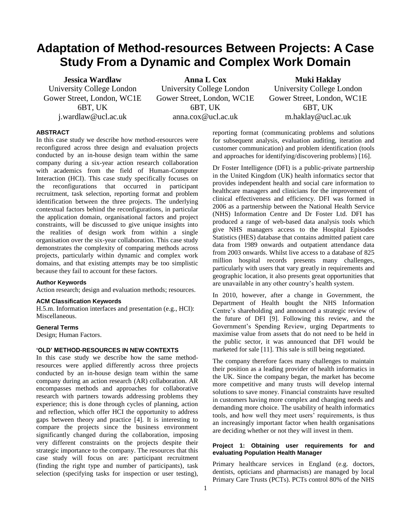# **Adaptation of Method-resources Between Projects: A Case Study From a Dynamic and Complex Work Domain**

**Jessica Wardlaw** University College London Gower Street, London, WC1E 6BT, UK j.wardlaw@ucl.ac.uk

**Anna L Cox** University College London Gower Street, London, WC1E 6BT, UK anna.cox@ucl.ac.uk

**Muki Haklay** University College London Gower Street, London, WC1E 6BT, UK m.haklay@ucl.ac.uk

## **ABSTRACT**

In this case study we describe how method-resources were reconfigured across three design and evaluation projects conducted by an in-house design team within the same company during a six-year action research collaboration with academics from the field of Human-Computer Interaction (HCI). This case study specifically focuses on the reconfigurations that occurred in participant recruitment, task selection, reporting format and problem identification between the three projects. The underlying contextual factors behind the reconfigurations, in particular the application domain, organisational factors and project constraints, will be discussed to give unique insights into the realities of design work from within a single organisation over the six-year collaboration. This case study demonstrates the complexity of comparing methods across projects, particularly within dynamic and complex work domains, and that existing attempts may be too simplistic because they fail to account for these factors.

#### **Author Keywords**

Action research; design and evaluation methods; resources.

#### **ACM Classification Keywords**

H.5.m. Information interfaces and presentation (e.g., HCI): Miscellaneous.

## **General Terms**

Design; Human Factors.

## **'OLD' METHOD-RESOURCES IN NEW CONTEXTS**

In this case study we describe how the same methodresources were applied differently across three projects conducted by an in-house design team within the same company during an action research (AR) collaboration. AR encompasses methods and approaches for collaborative research with partners towards addressing problems they experience; this is done through cycles of planning, action and reflection, which offer HCI the opportunity to address gaps between theory and practice [4]. It is interesting to compare the projects since the business environment significantly changed during the collaboration, imposing very different constraints on the projects despite their strategic importance to the company. The resources that this case study will focus on are: participant recruitment (finding the right type and number of participants), task selection (specifying tasks for inspection or user testing),

reporting format (communicating problems and solutions for subsequent analysis, evaluation auditing, iteration and customer communication) and problem identification (tools and approaches for identifying/discovering problems) [16].

Dr Foster Intelligence (DFI) is a public-private partnership in the United Kingdom (UK) health informatics sector that provides independent health and social care information to healthcare managers and clinicians for the improvement of clinical effectiveness and efficiency. DFI was formed in 2006 as a partnership between the National Health Service (NHS) Information Centre and Dr Foster Ltd. DFI has produced a range of web-based data analysis tools which give NHS managers access to the Hospital Episodes Statistics (HES) database that contains admitted patient care data from 1989 onwards and outpatient attendance data from 2003 onwards. Whilst live access to a database of 825 million hospital records presents many challenges, particularly with users that vary greatly in requirements and geographic location, it also presents great opportunities that are unavailable in any other country's health system.

In 2010, however, after a change in Government, the Department of Health bought the NHS Information Centre's shareholding and announced a strategic review of the future of DFI [9]. Following this review, and the Government's Spending Review, urging Departments to maximise value from assets that do not need to be held in the public sector, it was announced that DFI would be marketed for sale [11]. This sale is still being negotiated.

The company therefore faces many challenges to maintain their position as a leading provider of health informatics in the UK. Since the company began, the market has become more competitive and many trusts will develop internal solutions to save money. Financial constraints have resulted in customers having more complex and changing needs and demanding more choice. The usability of health informatics tools, and how well they meet users' requirements, is thus an increasingly important factor when health organisations are deciding whether or not they will invest in them.

# **Project 1: Obtaining user requirements for and evaluating Population Health Manager**

Primary healthcare services in England (e.g. doctors, dentists, opticians and pharmacists) are managed by local Primary Care Trusts (PCTs). PCTs control 80% of the NHS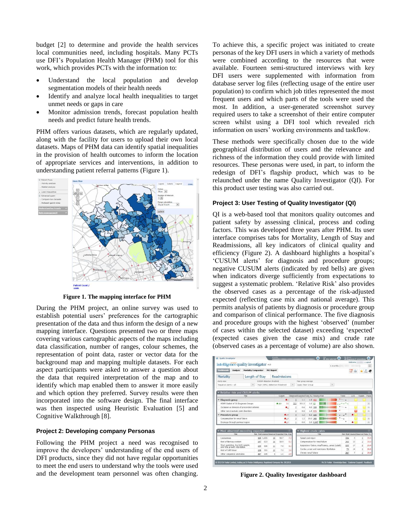budget [2] to determine and provide the health services local communities need, including hospitals. Many PCTs use DFI's Population Health Manager (PHM) tool for this work, which provides PCTs with the information to:

- Understand the local population and develop segmentation models of their health needs
- Identify and analyze local health inequalities to target unmet needs or gaps in care
- Monitor admission trends, forecast population health needs and predict future health trends.

PHM offers various datasets, which are regularly updated, along with the facility for users to upload their own local datasets. Maps of PHM data can identify spatial inequalities in the provision of health outcomes to inform the location of appropriate services and interventions, in addition to understanding patient referral patterns [\(Figure 1\)](#page-1-0).



**Figure 1. The mapping interface for PHM**

<span id="page-1-0"></span>During the PHM project, an online survey was used to establish potential users' preferences for the cartographic presentation of the data and thus inform the design of a new mapping interface. Questions presented two or three maps covering various cartographic aspects of the maps including data classification, number of ranges, colour schemes, the representation of point data, raster or vector data for the background map and mapping multiple datasets. For each aspect participants were asked to answer a question about the data that required interpretation of the map and to identify which map enabled them to answer it more easily and which option they preferred. Survey results were then incorporated into the software design. The final interface was then inspected using Heuristic Evaluation [5] and Cognitive Walkthrough [8].

#### **Project 2: Developing company Personas**

Following the PHM project a need was recognised to improve the developers' understanding of the end users of DFI products, since they did not have regular opportunities to meet the end users to understand why the tools were used and the development team personnel was often changing.

To achieve this, a specific project was initiated to create personas of the key DFI users in which a variety of methods were combined according to the resources that were available. Fourteen semi-structured interviews with key DFI users were supplemented with information from database server log files (reflecting usage of the entire user population) to confirm which job titles represented the most frequent users and which parts of the tools were used the most. In addition, a user-generated screenshot survey required users to take a screenshot of their entire computer screen whilst using a DFI tool which revealed rich information on users' working environments and taskflow.

These methods were specifically chosen due to the wide geographical distribution of users and the relevance and richness of the information they could provide with limited resources. These personas were used, in part, to inform the redesign of DFI's flagship product, which was to be relaunched under the name Quality Investigator (QI). For this product user testing was also carried out.

## **Project 3: User Testing of Quality Investigator (QI)**

QI is a web-based tool that monitors quality outcomes and patient safety by assessing clinical, process and coding factors. This was developed three years after PHM. Its user interface comprises tabs for Mortality, Length of Stay and Readmissions, all key indicators of clinical quality and efficiency (Figure 2). A dashboard highlights a hospital's 'CUSUM alerts' for diagnosis and procedure groups; negative CUSUM alerts (indicated by red bells) are given when indicators diverge sufficiently from expectations to suggest a systematic problem. 'Relative Risk' also provides the observed cases as a percentage of the risk-adjusted expected (reflecting case mix and national average). This permits analysis of patients by diagnosis or procedure group and comparison of clinical performance. The five diagnosis and procedure groups with the highest 'observed' (number of cases within the selected dataset) exceeding 'expected' (expected cases given the case mix) and crude rate (observed cases as a percentage of volume) are also shown.



**Figure 2. Quality Investigator dashboard**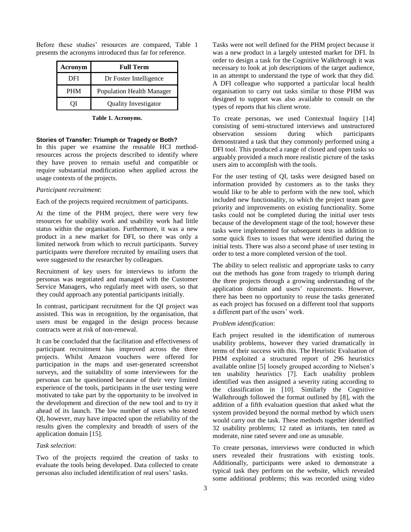| Acronym    | <b>Full Term</b>                 |
|------------|----------------------------------|
| DFI        | Dr Foster Intelligence           |
| <b>PHM</b> | <b>Population Health Manager</b> |
|            | <b>Quality Investigator</b>      |

Before these studies' resources are compared, Table 1 presents the acronyms introduced thus far for reference.

#### **Table 1. Acronyms.**

#### **Stories of Transfer: Triumph or Tragedy or Both?**

In this paper we examine the reusable HCI methodresources across the projects described to identify where they have proven to remain useful and compatible or require substantial modification when applied across the usage contexts of the projects.

#### *Participant recruitment*:

Each of the projects required recruitment of participants.

At the time of the PHM project, there were very few resources for usability work and usability work had little status within the organisation. Furthermore, it was a new product in a new market for DFI, so there was only a limited network from which to recruit participants. Survey participants were therefore recruited by emailing users that were suggested to the researcher by colleagues.

Recruitment of key users for interviews to inform the personas was negotiated and managed with the Customer Service Managers, who regularly meet with users, so that they could approach any potential participants initially.

In contrast, participant recruitment for the QI project was assisted. This was in recognition, by the organisation, that users must be engaged in the design process because contracts were at risk of non-renewal.

It can be concluded that the facilitation and effectiveness of participant recruitment has improved across the three projects. Whilst Amazon vouchers were offered for participation in the maps and user-generated screenshot surveys, and the suitability of some interviewees for the personas can be questioned because of their very limited experience of the tools, participants in the user testing were motivated to take part by the opportunity to be involved in the development and direction of the new tool and to try it ahead of its launch. The low number of users who tested QI, however, may have impacted upon the reliability of the results given the complexity and breadth of users of the application domain [15].

#### *Task selection*:

Two of the projects required the creation of tasks to evaluate the tools being developed. Data collected to create personas also included identification of real users' tasks.

Tasks were not well defined for the PHM project because it was a new product in a largely untested market for DFI. In order to design a task for the Cognitive Walkthrough it was necessary to look at job descriptions of the target audience, in an attempt to understand the type of work that they did. A DFI colleague who supported a particular local health organisation to carry out tasks similar to those PHM was designed to support was also available to consult on the types of reports that his client wrote.

To create personas, we used Contextual Inquiry [14] consisting of semi-structured interviews and unstructured observation sessions during which participants demonstrated a task that they commonly performed using a DFI tool. This produced a range of closed and open tasks so arguably provided a much more realistic picture of the tasks users aim to accomplish with the tools.

For the user testing of QI, tasks were designed based on information provided by customers as to the tasks they would like to be able to perform with the new tool, which included new functionality, to which the project team gave priority and improvements on existing functionality. Some tasks could not be completed during the initial user tests because of the development stage of the tool; however these tasks were implemented for subsequent tests in addition to some quick fixes to issues that were identified during the initial tests. There was also a second phase of user testing in order to test a more completed version of the tool.

The ability to select realistic and appropriate tasks to carry out the methods has gone from tragedy to triumph during the three projects through a growing understanding of the application domain and users' requirements. However, there has been no opportunity to reuse the tasks generated as each project has focused on a different tool that supports a different part of the users' work.

#### *Problem identification:*

Each project resulted in the identification of numerous usability problems, however they varied dramatically in terms of their success with this. The Heuristic Evaluation of PHM exploited a structured report of 296 heuristics available online [5] loosely grouped according to Nielsen's ten usability heuristics [7]. Each usability problem identified was then assigned a severity rating according to the classification in [10]. Similarly the Cognitive Walkthrough followed the format outlined by [8], with the addition of a fifth evaluation question that asked what the system provided beyond the normal method by which users would carry out the task. These methods together identified 32 usability problems; 12 rated as irritants, ten rated as moderate, nine rated severe and one as unusable.

To create personas, interviews were conducted in which users revealed their frustrations with existing tools. Additionally, participants were asked to demonstrate a typical task they perform on the website, which revealed some additional problems; this was recorded using video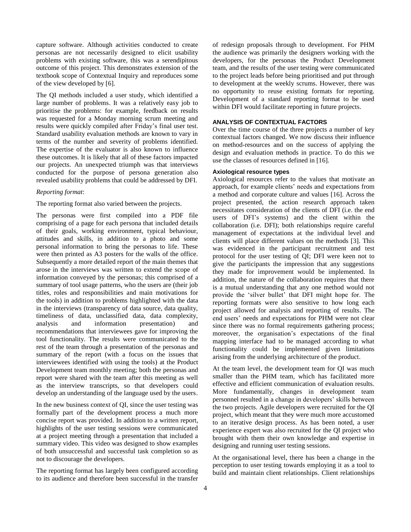capture software. Although activities conducted to create personas are not necessarily designed to elicit usability problems with existing software, this was a serendipitous outcome of this project. This demonstrates extension of the textbook scope of Contextual Inquiry and reproduces some of the view developed by [6].

The QI methods included a user study, which identified a large number of problems. It was a relatively easy job to prioritise the problems: for example, feedback on results was requested for a Monday morning scrum meeting and results were quickly compiled after Friday's final user test. Standard usability evaluation methods are known to vary in terms of the number and severity of problems identified. The expertise of the evaluator is also known to influence these outcomes. It is likely that all of these factors impacted our projects. An unexpected triumph was that interviews conducted for the purpose of persona generation also revealed usability problems that could be addressed by DFI.

## *Reporting format*:

The reporting format also varied between the projects.

The personas were first compiled into a PDF file comprising of a page for each persona that included details of their goals, working environment, typical behaviour, attitudes and skills, in addition to a photo and some personal information to bring the personas to life. These were then printed as A3 posters for the walls of the office. Subsequently a more detailed report of the main themes that arose in the interviews was written to extend the scope of information conveyed by the personas; this comprised of a summary of tool usage patterns, who the users are (their job titles, roles and responsibilities and main motivations for the tools) in addition to problems highlighted with the data in the interviews (transparency of data source, data quality, timeliness of data, unclassified data, data complexity, analysis and information presentation) and recommendations that interviewees gave for improving the tool functionality. The results were communicated to the rest of the team through a presentation of the personas and summary of the report (with a focus on the issues that interviewees identified with using the tools) at the Product Development team monthly meeting; both the personas and report were shared with the team after this meeting as well as the interview transcripts, so that developers could develop an understanding of the language used by the users.

In the new business context of QI, since the user testing was formally part of the development process a much more concise report was provided. In addition to a written report, highlights of the user testing sessions were communicated at a project meeting through a presentation that included a summary video. This video was designed to show examples of both unsuccessful and successful task completion so as not to discourage the developers.

The reporting format has largely been configured according to its audience and therefore been successful in the transfer of redesign proposals through to development. For PHM the audience was primarily the designers working with the developers, for the personas the Product Development team, and the results of the user testing were communicated to the project leads before being prioritised and put through to development at the weekly scrums. However, there was no opportunity to reuse existing formats for reporting. Development of a standard reporting format to be used within DFI would facilitate reporting in future projects.

## **ANALYSIS OF CONTEXTUAL FACTORS**

Over the time course of the three projects a number of key contextual factors changed. We now discuss their influence on method-resources and on the success of applying the design and evaluation methods in practice. To do this we use the classes of resources defined in [16].

## **Axiological resource types**

Axiological resources refer to the values that motivate an approach, for example clients' needs and expectations from a method and corporate culture and values [16]. Across the project presented, the action research approach taken necessitates consideration of the clients of DFI (i.e. the end users of DFI's systems) and the client within the collaboration (i.e. DFI); both relationships require careful management of expectations at the individual level and clients will place different values on the methods [3]. This was evidenced in the participant recruitment and test protocol for the user testing of QI; DFI were keen not to give the participants the impression that any suggestions they made for improvement would be implemented. In addition, the nature of the collaboration requires that there is a mutual understanding that any one method would not provide the 'silver bullet' that DFI might hope for. The reporting formats were also sensitive to how long each project allowed for analysis and reporting of results. The end users' needs and expectations for PHM were not clear since there was no formal requirements gathering process; moreover, the organisation's expectations of the final mapping interface had to be managed according to what functionality could be implemented given limitations arising from the underlying architecture of the product.

At the team level, the development team for QI was much smaller than the PHM team, which has facilitated more effective and efficient communication of evaluation results. More fundamentally, changes in development team personnel resulted in a change in developers' skills between the two projects. Agile developers were recruited for the QI project, which meant that they were much more accustomed to an iterative design process. As has been noted, a user experience expert was also recruited for the QI project who brought with them their own knowledge and expertise in designing and running user testing sessions.

At the organisational level, there has been a change in the perception to user testing towards employing it as a tool to build and maintain client relationships. Client relationships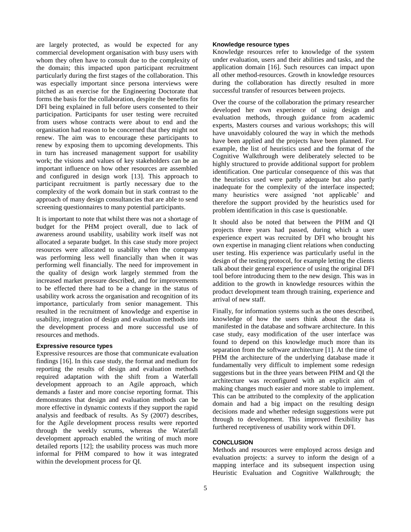are largely protected, as would be expected for any commercial development organisation with busy users with whom they often have to consult due to the complexity of the domain; this impacted upon participant recruitment particularly during the first stages of the collaboration. This was especially important since persona interviews were pitched as an exercise for the Engineering Doctorate that forms the basis for the collaboration, despite the benefits for DFI being explained in full before users consented to their participation. Participants for user testing were recruited from users whose contracts were about to end and the organisation had reason to be concerned that they might not renew. The aim was to encourage these participants to renew by exposing them to upcoming developments. This in turn has increased management support for usability work; the visions and values of key stakeholders can be an important influence on how other resources are assembled and configured in design work [13]. This approach to participant recruitment is partly necessary due to the complexity of the work domain but in stark contrast to the approach of many design consultancies that are able to send screening questionnaires to many potential participants.

It is important to note that whilst there was not a shortage of budget for the PHM project overall, due to lack of awareness around usability, usability work itself was not allocated a separate budget. In this case study more project resources were allocated to usability when the company was performing less well financially than when it was performing well financially. The need for improvement in the quality of design work largely stemmed from the increased market pressure described, and for improvements to be effected there had to be a change in the status of usability work across the organisation and recognition of its importance, particularly from senior management. This resulted in the recruitment of knowledge and expertise in usability, integration of design and evaluation methods into the development process and more successful use of resources and methods.

#### **Expressive resource types**

Expressive resources are those that communicate evaluation findings [16]. In this case study, the format and medium for reporting the results of design and evaluation methods required adaptation with the shift from a Waterfall development approach to an Agile approach, which demands a faster and more concise reporting format. This demonstrates that design and evaluation methods can be more effective in dynamic contexts if they support the rapid analysis and feedback of results. As Sy (2007) describes, for the Agile development process results were reported through the weekly scrums, whereas the Waterfall development approach enabled the writing of much more detailed reports [12]; the usability process was much more informal for PHM compared to how it was integrated within the development process for QI.

#### **Knowledge resource types**

Knowledge resources refer to knowledge of the system under evaluation, users and their abilities and tasks, and the application domain [16]. Such resources can impact upon all other method-resources. Growth in knowledge resources during the collaboration has directly resulted in more successful transfer of resources between projects.

Over the course of the collaboration the primary researcher developed her own experience of using design and evaluation methods, through guidance from academic experts, Masters courses and various workshops; this will have unavoidably coloured the way in which the methods have been applied and the projects have been planned. For example, the list of heuristics used and the format of the Cognitive Walkthrough were deliberately selected to be highly structured to provide additional support for problem identification. One particular consequence of this was that the heuristics used were partly adequate but also partly inadequate for the complexity of the interface inspected; many heuristics were assigned 'not applicable' and therefore the support provided by the heuristics used for problem identification in this case is questionable.

It should also be noted that between the PHM and QI projects three years had passed, during which a user experience expert was recruited by DFI who brought his own expertise in managing client relations when conducting user testing. His experience was particularly useful in the design of the testing protocol, for example letting the clients talk about their general experience of using the original DFI tool before introducing them to the new design. This was in addition to the growth in knowledge resources within the product development team through training, experience and arrival of new staff.

Finally, for information systems such as the ones described, knowledge of how the users think about the data is manifested in the database and software architecture. In this case study, easy modification of the user interface was found to depend on this knowledge much more than its separation from the software architecture [1]. At the time of PHM the architecture of the underlying database made it fundamentally very difficult to implement some redesign suggestions but in the three years between PHM and QI the architecture was reconfigured with an explicit aim of making changes much easier and more stable to implement. This can be attributed to the complexity of the application domain and had a big impact on the resulting design decisions made and whether redesign suggestions were put through to development. This improved flexibility has furthered receptiveness of usability work within DFI.

#### **CONCLUSION**

Methods and resources were employed across design and evaluation projects: a survey to inform the design of a mapping interface and its subsequent inspection using Heuristic Evaluation and Cognitive Walkthrough; the